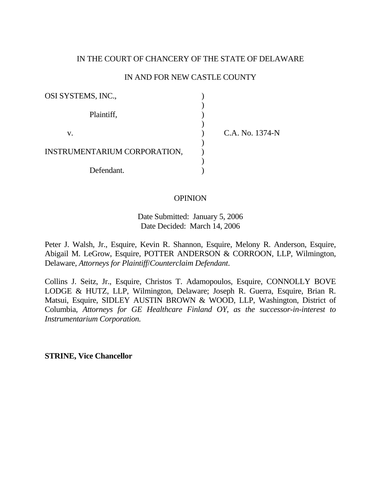# IN THE COURT OF CHANCERY OF THE STATE OF DELAWARE

## IN AND FOR NEW CASTLE COUNTY

| OSI SYSTEMS, INC.,           |                 |
|------------------------------|-----------------|
| Plaintiff,                   |                 |
| v.                           | C.A. No. 1374-N |
| INSTRUMENTARIUM CORPORATION, |                 |
| Defendant.                   |                 |

## **OPINION**

Date Submitted: January 5, 2006 Date Decided: March 14, 2006

Peter J. Walsh, Jr., Esquire, Kevin R. Shannon, Esquire, Melony R. Anderson, Esquire, Abigail M. LeGrow, Esquire, POTTER ANDERSON & CORROON, LLP, Wilmington, Delaware, *Attorneys for Plaintiff*/*Counterclaim Defendant*.

Collins J. Seitz, Jr., Esquire, Christos T. Adamopoulos, Esquire, CONNOLLY BOVE LODGE & HUTZ, LLP, Wilmington, Delaware; Joseph R. Guerra, Esquire, Brian R. Matsui, Esquire, SIDLEY AUSTIN BROWN & WOOD, LLP, Washington, District of Columbia, *Attorneys for GE Healthcare Finland OY, as the successor-in-interest to Instrumentarium Corporation.* 

**STRINE, Vice Chancellor**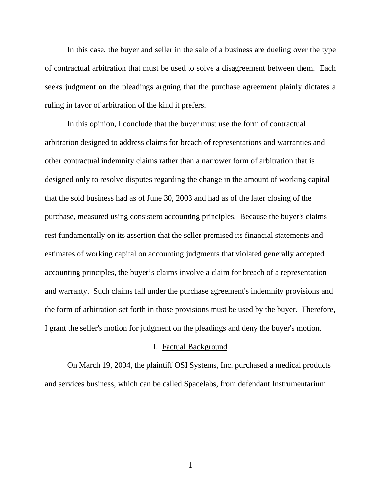In this case, the buyer and seller in the sale of a business are dueling over the type of contractual arbitration that must be used to solve a disagreement between them. Each seeks judgment on the pleadings arguing that the purchase agreement plainly dictates a ruling in favor of arbitration of the kind it prefers.

In this opinion, I conclude that the buyer must use the form of contractual arbitration designed to address claims for breach of representations and warranties and other contractual indemnity claims rather than a narrower form of arbitration that is designed only to resolve disputes regarding the change in the amount of working capital that the sold business had as of June 30, 2003 and had as of the later closing of the purchase, measured using consistent accounting principles. Because the buyer's claims rest fundamentally on its assertion that the seller premised its financial statements and estimates of working capital on accounting judgments that violated generally accepted accounting principles, the buyer's claims involve a claim for breach of a representation and warranty. Such claims fall under the purchase agreement's indemnity provisions and the form of arbitration set forth in those provisions must be used by the buyer. Therefore, I grant the seller's motion for judgment on the pleadings and deny the buyer's motion.

# I. Factual Background

 On March 19, 2004, the plaintiff OSI Systems, Inc. purchased a medical products and services business, which can be called Spacelabs, from defendant Instrumentarium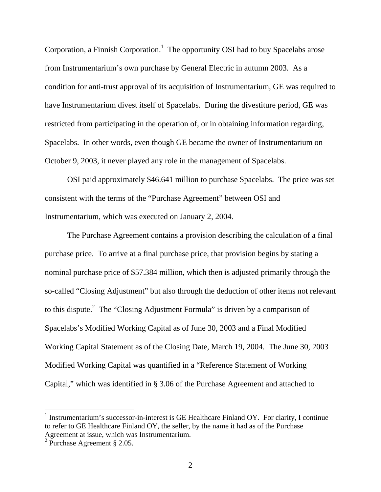Corporation, a Finnish Corporation.<sup>1</sup> The opportunity OSI had to buy Spacelabs arose from Instrumentarium's own purchase by General Electric in autumn 2003. As a condition for anti-trust approval of its acquisition of Instrumentarium, GE was required to have Instrumentarium divest itself of Spacelabs. During the divestiture period, GE was restricted from participating in the operation of, or in obtaining information regarding, Spacelabs. In other words, even though GE became the owner of Instrumentarium on October 9, 2003, it never played any role in the management of Spacelabs.

 OSI paid approximately \$46.641 million to purchase Spacelabs. The price was set consistent with the terms of the "Purchase Agreement" between OSI and Instrumentarium, which was executed on January 2, 2004.

 The Purchase Agreement contains a provision describing the calculation of a final purchase price. To arrive at a final purchase price, that provision begins by stating a nominal purchase price of \$57.384 million, which then is adjusted primarily through the so-called "Closing Adjustment" but also through the deduction of other items not relevant to this dispute.<sup>2</sup> The "Closing Adjustment Formula" is driven by a comparison of Spacelabs's Modified Working Capital as of June 30, 2003 and a Final Modified Working Capital Statement as of the Closing Date, March 19, 2004. The June 30, 2003 Modified Working Capital was quantified in a "Reference Statement of Working Capital," which was identified in § 3.06 of the Purchase Agreement and attached to

<sup>&</sup>lt;sup>1</sup> Instrumentarium's successor-in-interest is GE Healthcare Finland OY. For clarity, I continue to refer to GE Healthcare Finland OY, the seller, by the name it had as of the Purchase Agreement at issue, which was Instrumentarium.

 $2$  Purchase Agreement § 2.05.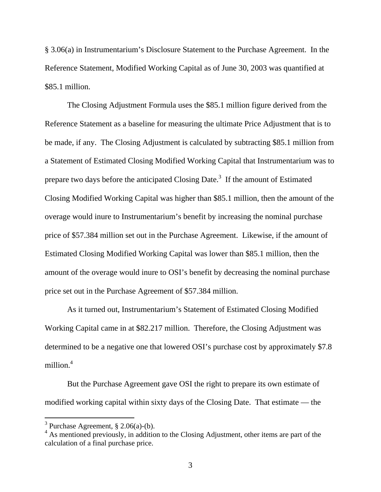§ 3.06(a) in Instrumentarium's Disclosure Statement to the Purchase Agreement. In the Reference Statement, Modified Working Capital as of June 30, 2003 was quantified at \$85.1 million.

 The Closing Adjustment Formula uses the \$85.1 million figure derived from the Reference Statement as a baseline for measuring the ultimate Price Adjustment that is to be made, if any. The Closing Adjustment is calculated by subtracting \$85.1 million from a Statement of Estimated Closing Modified Working Capital that Instrumentarium was to prepare two days before the anticipated Closing Date.<sup>3</sup> If the amount of Estimated Closing Modified Working Capital was higher than \$85.1 million, then the amount of the overage would inure to Instrumentarium's benefit by increasing the nominal purchase price of \$57.384 million set out in the Purchase Agreement. Likewise, if the amount of Estimated Closing Modified Working Capital was lower than \$85.1 million, then the amount of the overage would inure to OSI's benefit by decreasing the nominal purchase price set out in the Purchase Agreement of \$57.384 million.

 As it turned out, Instrumentarium's Statement of Estimated Closing Modified Working Capital came in at \$82.217 million. Therefore, the Closing Adjustment was determined to be a negative one that lowered OSI's purchase cost by approximately \$7.8 million.<sup>4</sup>

 But the Purchase Agreement gave OSI the right to prepare its own estimate of modified working capital within sixty days of the Closing Date. That estimate — the

<sup>&</sup>lt;sup>3</sup> Purchase Agreement, § 2.06(a)-(b).

<sup>&</sup>lt;sup>4</sup> As mentioned previously, in addition to the Closing Adjustment, other items are part of the calculation of a final purchase price.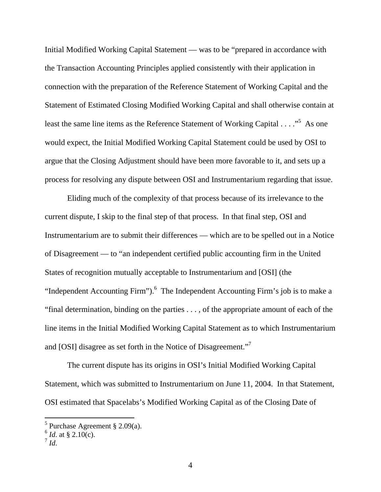Initial Modified Working Capital Statement — was to be "prepared in accordance with the Transaction Accounting Principles applied consistently with their application in connection with the preparation of the Reference Statement of Working Capital and the Statement of Estimated Closing Modified Working Capital and shall otherwise contain at least the same line items as the Reference Statement of Working Capital . . . . . . . . . As one would expect, the Initial Modified Working Capital Statement could be used by OSI to argue that the Closing Adjustment should have been more favorable to it, and sets up a process for resolving any dispute between OSI and Instrumentarium regarding that issue.

 Eliding much of the complexity of that process because of its irrelevance to the current dispute, I skip to the final step of that process. In that final step, OSI and Instrumentarium are to submit their differences — which are to be spelled out in a Notice of Disagreement — to "an independent certified public accounting firm in the United States of recognition mutually acceptable to Instrumentarium and [OSI] (the "Independent Accounting Firm"). $<sup>6</sup>$  The Independent Accounting Firm's job is to make a</sup> "final determination, binding on the parties . . . , of the appropriate amount of each of the line items in the Initial Modified Working Capital Statement as to which Instrumentarium and [OSI] disagree as set forth in the Notice of Disagreement."<sup>7</sup>

 The current dispute has its origins in OSI's Initial Modified Working Capital Statement, which was submitted to Instrumentarium on June 11, 2004. In that Statement, OSI estimated that Spacelabs's Modified Working Capital as of the Closing Date of

 5 Purchase Agreement § 2.09(a).

 $^6$  *Id.* at § 2.10(c).

 $^7$  *Id*.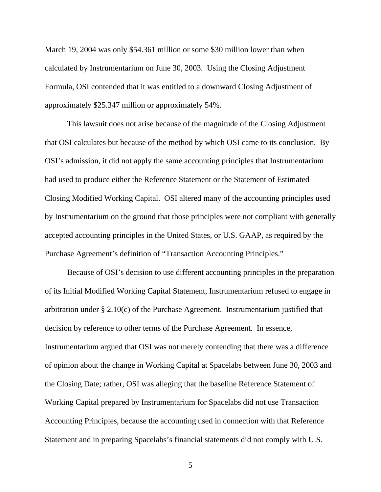March 19, 2004 was only \$54.361 million or some \$30 million lower than when calculated by Instrumentarium on June 30, 2003. Using the Closing Adjustment Formula, OSI contended that it was entitled to a downward Closing Adjustment of approximately \$25.347 million or approximately 54%.

 This lawsuit does not arise because of the magnitude of the Closing Adjustment that OSI calculates but because of the method by which OSI came to its conclusion. By OSI's admission, it did not apply the same accounting principles that Instrumentarium had used to produce either the Reference Statement or the Statement of Estimated Closing Modified Working Capital. OSI altered many of the accounting principles used by Instrumentarium on the ground that those principles were not compliant with generally accepted accounting principles in the United States, or U.S. GAAP, as required by the Purchase Agreement's definition of "Transaction Accounting Principles."

 Because of OSI's decision to use different accounting principles in the preparation of its Initial Modified Working Capital Statement, Instrumentarium refused to engage in arbitration under § 2.10(c) of the Purchase Agreement. Instrumentarium justified that decision by reference to other terms of the Purchase Agreement. In essence, Instrumentarium argued that OSI was not merely contending that there was a difference of opinion about the change in Working Capital at Spacelabs between June 30, 2003 and the Closing Date; rather, OSI was alleging that the baseline Reference Statement of Working Capital prepared by Instrumentarium for Spacelabs did not use Transaction Accounting Principles, because the accounting used in connection with that Reference Statement and in preparing Spacelabs's financial statements did not comply with U.S.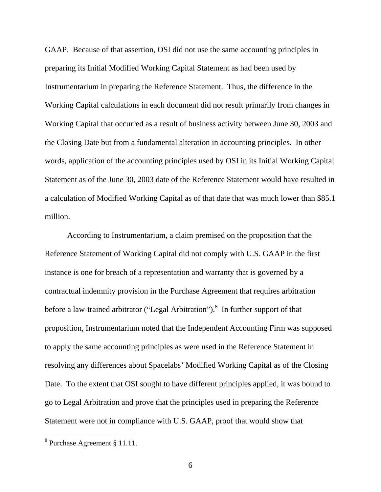GAAP. Because of that assertion, OSI did not use the same accounting principles in preparing its Initial Modified Working Capital Statement as had been used by Instrumentarium in preparing the Reference Statement. Thus, the difference in the Working Capital calculations in each document did not result primarily from changes in Working Capital that occurred as a result of business activity between June 30, 2003 and the Closing Date but from a fundamental alteration in accounting principles. In other words, application of the accounting principles used by OSI in its Initial Working Capital Statement as of the June 30, 2003 date of the Reference Statement would have resulted in a calculation of Modified Working Capital as of that date that was much lower than \$85.1 million.

According to Instrumentarium, a claim premised on the proposition that the Reference Statement of Working Capital did not comply with U.S. GAAP in the first instance is one for breach of a representation and warranty that is governed by a contractual indemnity provision in the Purchase Agreement that requires arbitration before a law-trained arbitrator ("Legal Arbitration").<sup>8</sup> In further support of that proposition, Instrumentarium noted that the Independent Accounting Firm was supposed to apply the same accounting principles as were used in the Reference Statement in resolving any differences about Spacelabs' Modified Working Capital as of the Closing Date. To the extent that OSI sought to have different principles applied, it was bound to go to Legal Arbitration and prove that the principles used in preparing the Reference Statement were not in compliance with U.S. GAAP, proof that would show that

 8 Purchase Agreement § 11.11.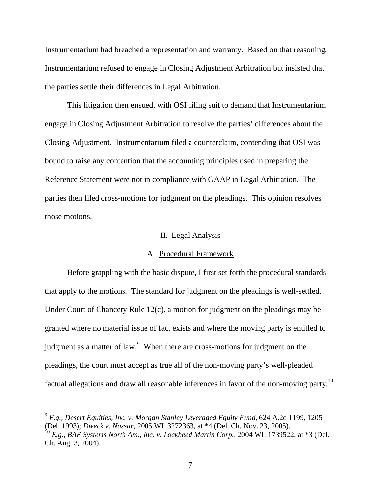Instrumentarium had breached a representation and warranty. Based on that reasoning, Instrumentarium refused to engage in Closing Adjustment Arbitration but insisted that the parties settle their differences in Legal Arbitration.

This litigation then ensued, with OSI filing suit to demand that Instrumentarium engage in Closing Adjustment Arbitration to resolve the parties' differences about the Closing Adjustment. Instrumentarium filed a counterclaim, contending that OSI was bound to raise any contention that the accounting principles used in preparing the Reference Statement were not in compliance with GAAP in Legal Arbitration. The parties then filed cross-motions for judgment on the pleadings. This opinion resolves those motions.

# II. Legal Analysis

#### A. Procedural Framework

Before grappling with the basic dispute, I first set forth the procedural standards that apply to the motions. The standard for judgment on the pleadings is well-settled. Under Court of Chancery Rule 12(c), a motion for judgment on the pleadings may be granted where no material issue of fact exists and where the moving party is entitled to judgment as a matter of law. $9$  When there are cross-motions for judgment on the pleadings, the court must accept as true all of the non-moving party's well-pleaded factual allegations and draw all reasonable inferences in favor of the non-moving party.10

<sup>9</sup> *E.g.*, *Desert Equities, Inc. v. Morgan Stanley Leveraged Equity Fund*, 624 A.2d 1199, 1205 (Del. 1993); *Dweck v. Nassar*, 2005 WL 3272363, at \*4 (Del. Ch. Nov. 23, 2005). <sup>10</sup> *E.g.*, *BAE Systems North Am., Inc. v. Lockheed Martin Corp.*, 2004 WL 1739522, at \*3 (Del.

Ch. Aug. 3, 2004).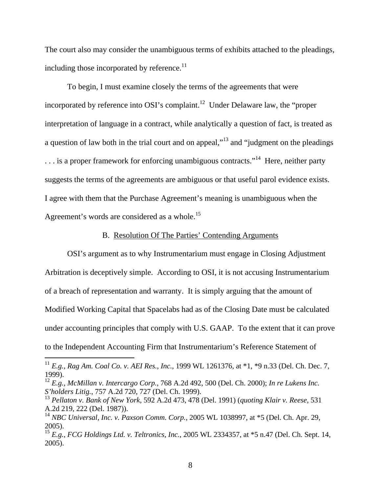The court also may consider the unambiguous terms of exhibits attached to the pleadings, including those incorporated by reference. $^{11}$ 

To begin, I must examine closely the terms of the agreements that were incorporated by reference into OSI's complaint.<sup>12</sup> Under Delaware law, the "proper interpretation of language in a contract, while analytically a question of fact, is treated as a question of law both in the trial court and on appeal, $\cdot$ <sup>13</sup> and "judgment on the pleadings" ... is a proper framework for enforcing unambiguous contracts."<sup>14</sup> Here, neither party suggests the terms of the agreements are ambiguous or that useful parol evidence exists. I agree with them that the Purchase Agreement's meaning is unambiguous when the Agreement's words are considered as a whole.<sup>15</sup>

### B. Resolution Of The Parties' Contending Arguments

OSI's argument as to why Instrumentarium must engage in Closing Adjustment Arbitration is deceptively simple. According to OSI, it is not accusing Instrumentarium of a breach of representation and warranty. It is simply arguing that the amount of Modified Working Capital that Spacelabs had as of the Closing Date must be calculated under accounting principles that comply with U.S. GAAP. To the extent that it can prove to the Independent Accounting Firm that Instrumentarium's Reference Statement of

<sup>11</sup> *E.g.*, *Rag Am. Coal Co. v. AEI Res., Inc.*, 1999 WL 1261376, at \*1, \*9 n.33 (Del. Ch. Dec. 7, 1999).

<sup>12</sup> *E.g.*, *McMillan v. Intercargo Corp.*, 768 A.2d 492, 500 (Del. Ch. 2000); *In re Lukens Inc. S'holders Litig.*, 757 A.2d 720, 727 (Del. Ch. 1999).

<sup>13</sup> *Pellaton v. Bank of New York*, 592 A.2d 473, 478 (Del. 1991) (*quoting Klair v. Reese*, 531 A.2d 219, 222 (Del. 1987)).

<sup>14</sup> *NBC Universal, Inc. v. Paxson Comm. Corp.*, 2005 WL 1038997, at \*5 (Del. Ch. Apr. 29, 2005).

<sup>15</sup> *E.g.*, *FCG Holdings Ltd. v. Teltronics, Inc.*, 2005 WL 2334357, at \*5 n.47 (Del. Ch. Sept. 14, 2005).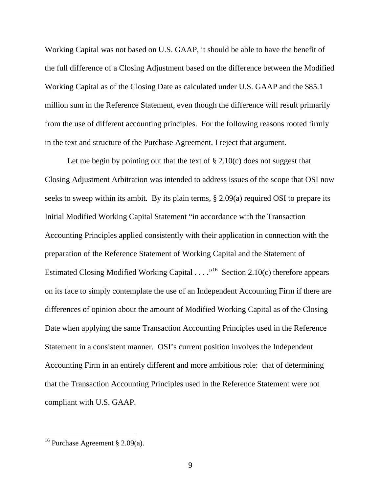Working Capital was not based on U.S. GAAP, it should be able to have the benefit of the full difference of a Closing Adjustment based on the difference between the Modified Working Capital as of the Closing Date as calculated under U.S. GAAP and the \$85.1 million sum in the Reference Statement, even though the difference will result primarily from the use of different accounting principles. For the following reasons rooted firmly in the text and structure of the Purchase Agreement, I reject that argument.

Let me begin by pointing out that the text of  $\S 2.10(c)$  does not suggest that Closing Adjustment Arbitration was intended to address issues of the scope that OSI now seeks to sweep within its ambit. By its plain terms, § 2.09(a) required OSI to prepare its Initial Modified Working Capital Statement "in accordance with the Transaction Accounting Principles applied consistently with their application in connection with the preparation of the Reference Statement of Working Capital and the Statement of Estimated Closing Modified Working Capital . . . . "<sup>16</sup> Section 2.10(c) therefore appears on its face to simply contemplate the use of an Independent Accounting Firm if there are differences of opinion about the amount of Modified Working Capital as of the Closing Date when applying the same Transaction Accounting Principles used in the Reference Statement in a consistent manner. OSI's current position involves the Independent Accounting Firm in an entirely different and more ambitious role: that of determining that the Transaction Accounting Principles used in the Reference Statement were not compliant with U.S. GAAP.

<sup>&</sup>lt;sup>16</sup> Purchase Agreement § 2.09(a).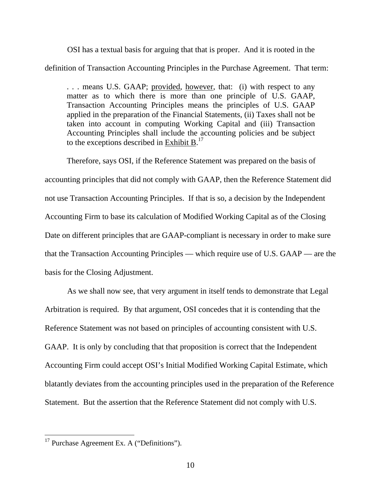OSI has a textual basis for arguing that that is proper. And it is rooted in the definition of Transaction Accounting Principles in the Purchase Agreement. That term:

... means U.S. GAAP; provided, however, that: (i) with respect to any matter as to which there is more than one principle of U.S. GAAP, Transaction Accounting Principles means the principles of U.S. GAAP applied in the preparation of the Financial Statements, (ii) Taxes shall not be taken into account in computing Working Capital and (iii) Transaction Accounting Principles shall include the accounting policies and be subject to the exceptions described in  $Exhibit B$ .<sup>17</sup>

Therefore, says OSI, if the Reference Statement was prepared on the basis of accounting principles that did not comply with GAAP, then the Reference Statement did not use Transaction Accounting Principles. If that is so, a decision by the Independent Accounting Firm to base its calculation of Modified Working Capital as of the Closing Date on different principles that are GAAP-compliant is necessary in order to make sure that the Transaction Accounting Principles — which require use of U.S. GAAP — are the basis for the Closing Adjustment.

 As we shall now see, that very argument in itself tends to demonstrate that Legal Arbitration is required. By that argument, OSI concedes that it is contending that the Reference Statement was not based on principles of accounting consistent with U.S. GAAP. It is only by concluding that that proposition is correct that the Independent Accounting Firm could accept OSI's Initial Modified Working Capital Estimate, which blatantly deviates from the accounting principles used in the preparation of the Reference Statement. But the assertion that the Reference Statement did not comply with U.S.

 $17$  Purchase Agreement Ex. A ("Definitions").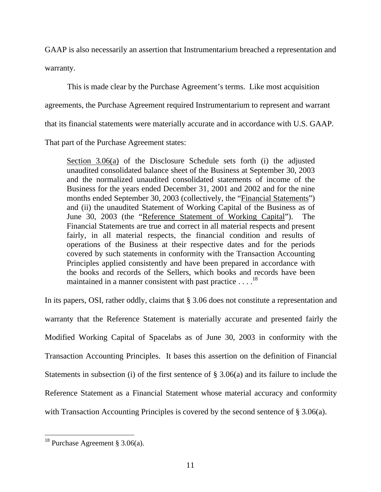GAAP is also necessarily an assertion that Instrumentarium breached a representation and warranty.

 This is made clear by the Purchase Agreement's terms. Like most acquisition agreements, the Purchase Agreement required Instrumentarium to represent and warrant that its financial statements were materially accurate and in accordance with U.S. GAAP.

That part of the Purchase Agreement states:

Section 3.06(a) of the Disclosure Schedule sets forth (i) the adjusted unaudited consolidated balance sheet of the Business at September 30, 2003 and the normalized unaudited consolidated statements of income of the Business for the years ended December 31, 2001 and 2002 and for the nine months ended September 30, 2003 (collectively, the "Financial Statements") and (ii) the unaudited Statement of Working Capital of the Business as of June 30, 2003 (the "Reference Statement of Working Capital"). The Financial Statements are true and correct in all material respects and present fairly, in all material respects, the financial condition and results of operations of the Business at their respective dates and for the periods covered by such statements in conformity with the Transaction Accounting Principles applied consistently and have been prepared in accordance with the books and records of the Sellers, which books and records have been maintained in a manner consistent with past practice  $\dots$ .<sup>18</sup>

In its papers, OSI, rather oddly, claims that § 3.06 does not constitute a representation and warranty that the Reference Statement is materially accurate and presented fairly the Modified Working Capital of Spacelabs as of June 30, 2003 in conformity with the Transaction Accounting Principles. It bases this assertion on the definition of Financial Statements in subsection (i) of the first sentence of § 3.06(a) and its failure to include the Reference Statement as a Financial Statement whose material accuracy and conformity with Transaction Accounting Principles is covered by the second sentence of § 3.06(a).

 $\overline{a}$ <sup>18</sup> Purchase Agreement § 3.06(a).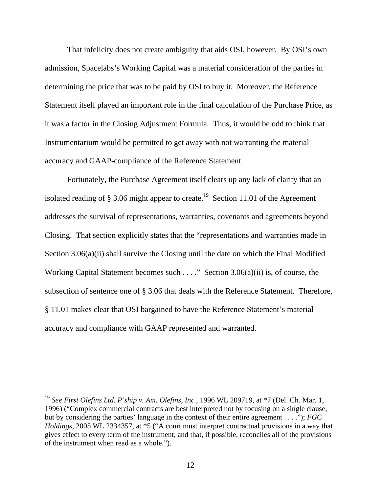That infelicity does not create ambiguity that aids OSI, however. By OSI's own admission, Spacelabs's Working Capital was a material consideration of the parties in determining the price that was to be paid by OSI to buy it. Moreover, the Reference Statement itself played an important role in the final calculation of the Purchase Price, as it was a factor in the Closing Adjustment Formula. Thus, it would be odd to think that Instrumentarium would be permitted to get away with not warranting the material accuracy and GAAP-compliance of the Reference Statement.

 Fortunately, the Purchase Agreement itself clears up any lack of clarity that an isolated reading of § 3.06 might appear to create.<sup>19</sup> Section 11.01 of the Agreement addresses the survival of representations, warranties, covenants and agreements beyond Closing. That section explicitly states that the "representations and warranties made in Section 3.06(a)(ii) shall survive the Closing until the date on which the Final Modified Working Capital Statement becomes such . . . ." Section 3.06(a)(ii) is, of course, the subsection of sentence one of § 3.06 that deals with the Reference Statement. Therefore, § 11.01 makes clear that OSI bargained to have the Reference Statement's material accuracy and compliance with GAAP represented and warranted.

<sup>19</sup> *See First Olefins Ltd. P'ship v. Am. Olefins, Inc.*, 1996 WL 209719, at \*7 (Del. Ch. Mar. 1, 1996) ("Complex commercial contracts are best interpreted not by focusing on a single clause, but by considering the parties' language in the context of their entire agreement . . . ."); *FGC Holdings*, 2005 WL 2334357, at \*5 ("A court must interpret contractual provisions in a way that gives effect to every term of the instrument, and that, if possible, reconciles all of the provisions of the instrument when read as a whole.").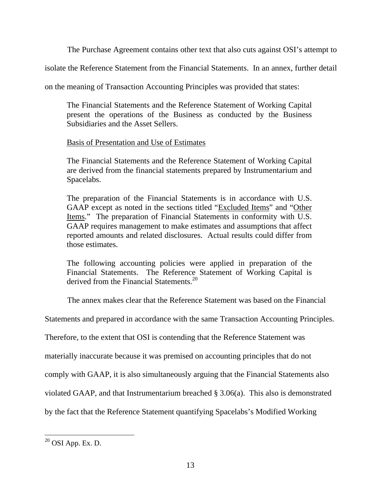The Purchase Agreement contains other text that also cuts against OSI's attempt to

isolate the Reference Statement from the Financial Statements. In an annex, further detail

on the meaning of Transaction Accounting Principles was provided that states:

The Financial Statements and the Reference Statement of Working Capital present the operations of the Business as conducted by the Business Subsidiaries and the Asset Sellers.

# Basis of Presentation and Use of Estimates

The Financial Statements and the Reference Statement of Working Capital are derived from the financial statements prepared by Instrumentarium and Spacelabs.

The preparation of the Financial Statements is in accordance with U.S. GAAP except as noted in the sections titled "Excluded Items" and "Other Items." The preparation of Financial Statements in conformity with U.S. GAAP requires management to make estimates and assumptions that affect reported amounts and related disclosures. Actual results could differ from those estimates.

The following accounting policies were applied in preparation of the Financial Statements. The Reference Statement of Working Capital is derived from the Financial Statements<sup>20</sup>

The annex makes clear that the Reference Statement was based on the Financial

Statements and prepared in accordance with the same Transaction Accounting Principles.

Therefore, to the extent that OSI is contending that the Reference Statement was

materially inaccurate because it was premised on accounting principles that do not

comply with GAAP, it is also simultaneously arguing that the Financial Statements also

violated GAAP, and that Instrumentarium breached § 3.06(a). This also is demonstrated

by the fact that the Reference Statement quantifying Spacelabs's Modified Working

 $20$  OSI App. Ex. D.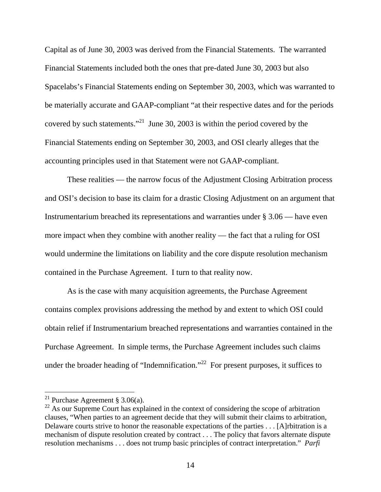Capital as of June 30, 2003 was derived from the Financial Statements. The warranted Financial Statements included both the ones that pre-dated June 30, 2003 but also Spacelabs's Financial Statements ending on September 30, 2003, which was warranted to be materially accurate and GAAP-compliant "at their respective dates and for the periods covered by such statements."<sup>21</sup> June 30, 2003 is within the period covered by the Financial Statements ending on September 30, 2003, and OSI clearly alleges that the accounting principles used in that Statement were not GAAP-compliant.

 These realities — the narrow focus of the Adjustment Closing Arbitration process and OSI's decision to base its claim for a drastic Closing Adjustment on an argument that Instrumentarium breached its representations and warranties under § 3.06 — have even more impact when they combine with another reality — the fact that a ruling for OSI would undermine the limitations on liability and the core dispute resolution mechanism contained in the Purchase Agreement. I turn to that reality now.

 As is the case with many acquisition agreements, the Purchase Agreement contains complex provisions addressing the method by and extent to which OSI could obtain relief if Instrumentarium breached representations and warranties contained in the Purchase Agreement. In simple terms, the Purchase Agreement includes such claims under the broader heading of "Indemnification."<sup>22</sup> For present purposes, it suffices to

<sup>&</sup>lt;sup>21</sup> Purchase Agreement § 3.06(a).

<sup>&</sup>lt;sup>22</sup> As our Supreme Court has explained in the context of considering the scope of arbitration clauses, "When parties to an agreement decide that they will submit their claims to arbitration, Delaware courts strive to honor the reasonable expectations of the parties . . . [A]rbitration is a mechanism of dispute resolution created by contract . . . The policy that favors alternate dispute resolution mechanisms . . . does not trump basic principles of contract interpretation." *Parfi*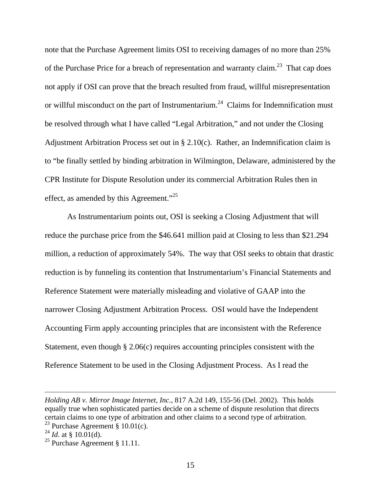note that the Purchase Agreement limits OSI to receiving damages of no more than 25% of the Purchase Price for a breach of representation and warranty claim.<sup>23</sup> That cap does not apply if OSI can prove that the breach resulted from fraud, willful misrepresentation or willful misconduct on the part of Instrumentarium.<sup>24</sup> Claims for Indemnification must be resolved through what I have called "Legal Arbitration," and not under the Closing Adjustment Arbitration Process set out in § 2.10(c). Rather, an Indemnification claim is to "be finally settled by binding arbitration in Wilmington, Delaware, administered by the CPR Institute for Dispute Resolution under its commercial Arbitration Rules then in effect, as amended by this Agreement."<sup>25</sup>

 As Instrumentarium points out, OSI is seeking a Closing Adjustment that will reduce the purchase price from the \$46.641 million paid at Closing to less than \$21.294 million, a reduction of approximately 54%. The way that OSI seeks to obtain that drastic reduction is by funneling its contention that Instrumentarium's Financial Statements and Reference Statement were materially misleading and violative of GAAP into the narrower Closing Adjustment Arbitration Process. OSI would have the Independent Accounting Firm apply accounting principles that are inconsistent with the Reference Statement, even though § 2.06(c) requires accounting principles consistent with the Reference Statement to be used in the Closing Adjustment Process. As I read the

*Holding AB v. Mirror Image Internet, Inc.*, 817 A.2d 149, 155-56 (Del. 2002). This holds equally true when sophisticated parties decide on a scheme of dispute resolution that directs certain claims to one type of arbitration and other claims to a second type of arbitration.

<sup>&</sup>lt;sup>23</sup> Purchase Agreement §  $10.01(c)$ .

 $^{24}$  *Id.* at § 10.01(d).

<sup>&</sup>lt;sup>25</sup> Purchase Agreement § 11.11.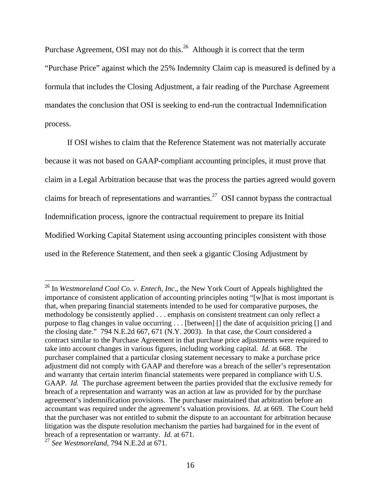Purchase Agreement, OSI may not do this.<sup>26</sup> Although it is correct that the term "Purchase Price" against which the 25% Indemnity Claim cap is measured is defined by a formula that includes the Closing Adjustment, a fair reading of the Purchase Agreement mandates the conclusion that OSI is seeking to end-run the contractual Indemnification process.

 If OSI wishes to claim that the Reference Statement was not materially accurate because it was not based on GAAP-compliant accounting principles, it must prove that claim in a Legal Arbitration because that was the process the parties agreed would govern claims for breach of representations and warranties.<sup>27</sup> OSI cannot bypass the contractual Indemnification process, ignore the contractual requirement to prepare its Initial Modified Working Capital Statement using accounting principles consistent with those used in the Reference Statement, and then seek a gigantic Closing Adjustment by

<sup>26</sup> In *Westmoreland Coal Co. v. Entech, Inc*., the New York Court of Appeals highlighted the importance of consistent application of accounting principles noting "[w]hat is most important is that, when preparing financial statements intended to be used for comparative purposes, the methodology be consistently applied . . . emphasis on consistent treatment can only reflect a purpose to flag changes in value occurring . . . [between] [] the date of acquisition pricing [] and the closing date." 794 N.E.2d 667, 671 (N.Y. 2003). In that case, the Court considered a contract similar to the Purchase Agreement in that purchase price adjustments were required to take into account changes in various figures, including working capital. *Id.* at 668.The purchaser complained that a particular closing statement necessary to make a purchase price adjustment did not comply with GAAP and therefore was a breach of the seller's representation and warranty that certain interim financial statements were prepared in compliance with U.S. GAAP. *Id.* The purchase agreement between the parties provided that the exclusive remedy for breach of a representation and warranty was an action at law as provided for by the purchase agreement's indemnification provisions. The purchaser maintained that arbitration before an accountant was required under the agreement's valuation provisions. *Id.* at 669. The Court held that the purchaser was not entitled to submit the dispute to an accountant for arbitration because litigation was the dispute resolution mechanism the parties had bargained for in the event of breach of a representation or warranty. *Id.* at 671.<sup>27</sup> *See Westmoreland*, 794 N.E.2d at 671.